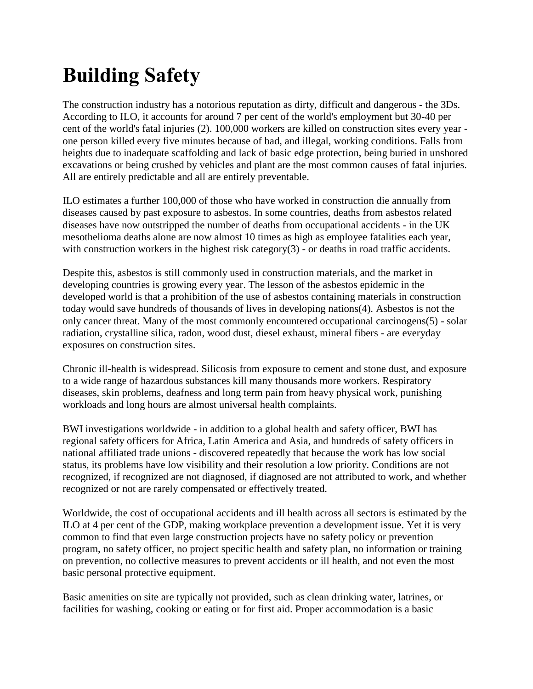# **Building Safety**

The construction industry has a notorious reputation as dirty, difficult and dangerous - the 3Ds. According to ILO, it accounts for around 7 per cent of the world's employment but 30-40 per cent of the world's fatal injuries (2). 100,000 workers are killed on construction sites every year one person killed every five minutes because of bad, and illegal, working conditions. Falls from heights due to inadequate scaffolding and lack of basic edge protection, being buried in unshored excavations or being crushed by vehicles and plant are the most common causes of fatal injuries. All are entirely predictable and all are entirely preventable.

ILO estimates a further 100,000 of those who have worked in construction die annually from diseases caused by past exposure to asbestos. In some countries, deaths from asbestos related diseases have now outstripped the number of deaths from occupational accidents - in the UK mesothelioma deaths alone are now almost 10 times as high as employee fatalities each year, with construction workers in the highest risk category(3) - or deaths in road traffic accidents.

Despite this, asbestos is still commonly used in construction materials, and the market in developing countries is growing every year. The lesson of the asbestos epidemic in the developed world is that a prohibition of the use of asbestos containing materials in construction today would save hundreds of thousands of lives in developing nations(4). Asbestos is not the only cancer threat. Many of the most commonly encountered occupational carcinogens(5) - solar radiation, crystalline silica, radon, wood dust, diesel exhaust, mineral fibers - are everyday exposures on construction sites.

Chronic ill-health is widespread. Silicosis from exposure to cement and stone dust, and exposure to a wide range of hazardous substances kill many thousands more workers. Respiratory diseases, skin problems, deafness and long term pain from heavy physical work, punishing workloads and long hours are almost universal health complaints.

BWI investigations worldwide - in addition to a global health and safety officer, BWI has regional safety officers for Africa, Latin America and Asia, and hundreds of safety officers in national affiliated trade unions - discovered repeatedly that because the work has low social status, its problems have low visibility and their resolution a low priority. Conditions are not recognized, if recognized are not diagnosed, if diagnosed are not attributed to work, and whether recognized or not are rarely compensated or effectively treated.

Worldwide, the cost of occupational accidents and ill health across all sectors is estimated by the ILO at 4 per cent of the GDP, making workplace prevention a development issue. Yet it is very common to find that even large construction projects have no safety policy or prevention program, no safety officer, no project specific health and safety plan, no information or training on prevention, no collective measures to prevent accidents or ill health, and not even the most basic personal protective equipment.

Basic amenities on site are typically not provided, such as clean drinking water, latrines, or facilities for washing, cooking or eating or for first aid. Proper accommodation is a basic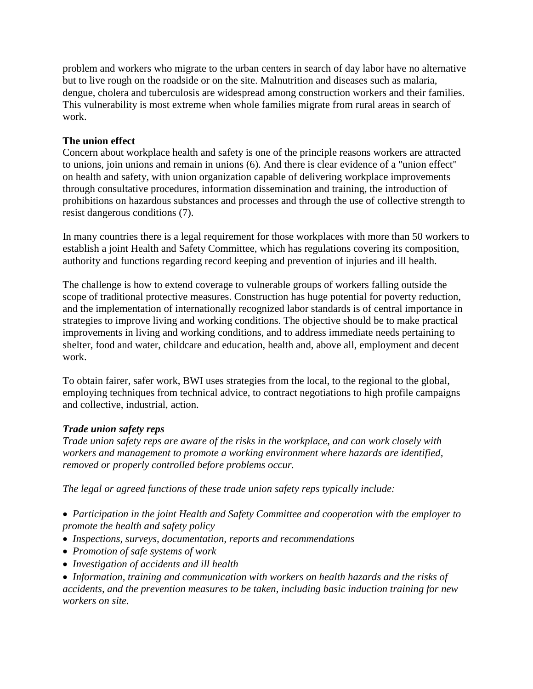problem and workers who migrate to the urban centers in search of day labor have no alternative but to live rough on the roadside or on the site. Malnutrition and diseases such as malaria, dengue, cholera and tuberculosis are widespread among construction workers and their families. This vulnerability is most extreme when whole families migrate from rural areas in search of work.

## **The union effect**

Concern about workplace health and safety is one of the principle reasons workers are attracted to unions, join unions and remain in unions (6). And there is clear evidence of a "union effect" on health and safety, with union organization capable of delivering workplace improvements through consultative procedures, information dissemination and training, the introduction of prohibitions on hazardous substances and processes and through the use of collective strength to resist dangerous conditions (7).

In many countries there is a legal requirement for those workplaces with more than 50 workers to establish a joint Health and Safety Committee, which has regulations covering its composition, authority and functions regarding record keeping and prevention of injuries and ill health.

The challenge is how to extend coverage to vulnerable groups of workers falling outside the scope of traditional protective measures. Construction has huge potential for poverty reduction, and the implementation of internationally recognized labor standards is of central importance in strategies to improve living and working conditions. The objective should be to make practical improvements in living and working conditions, and to address immediate needs pertaining to shelter, food and water, childcare and education, health and, above all, employment and decent work.

To obtain fairer, safer work, BWI uses strategies from the local, to the regional to the global, employing techniques from technical advice, to contract negotiations to high profile campaigns and collective, industrial, action.

### *Trade union safety reps*

*Trade union safety reps are aware of the risks in the workplace, and can work closely with workers and management to promote a working environment where hazards are identified, removed or properly controlled before problems occur.* 

*The legal or agreed functions of these trade union safety reps typically include:* 

 *Participation in the joint Health and Safety Committee and cooperation with the employer to promote the health and safety policy* 

- *Inspections, surveys, documentation, reports and recommendations*
- *Promotion of safe systems of work*
- *Investigation of accidents and ill health*

 *Information, training and communication with workers on health hazards and the risks of accidents, and the prevention measures to be taken, including basic induction training for new workers on site.*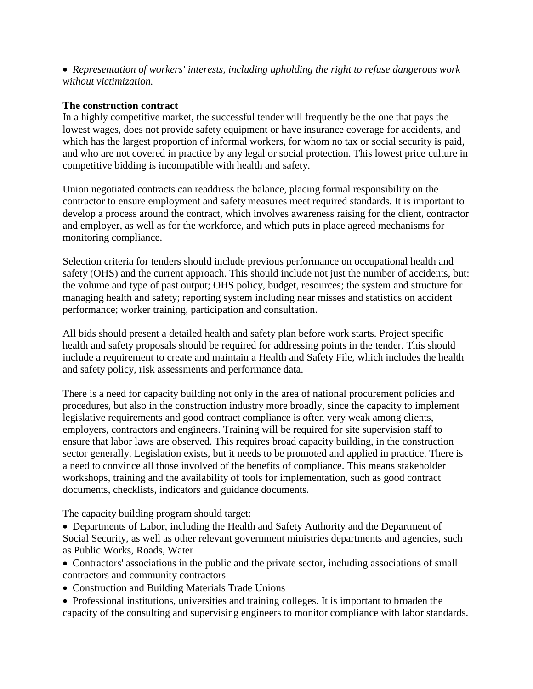*Representation of workers' interests, including upholding the right to refuse dangerous work without victimization.* 

### **The construction contract**

In a highly competitive market, the successful tender will frequently be the one that pays the lowest wages, does not provide safety equipment or have insurance coverage for accidents, and which has the largest proportion of informal workers, for whom no tax or social security is paid, and who are not covered in practice by any legal or social protection. This lowest price culture in competitive bidding is incompatible with health and safety.

Union negotiated contracts can readdress the balance, placing formal responsibility on the contractor to ensure employment and safety measures meet required standards. It is important to develop a process around the contract, which involves awareness raising for the client, contractor and employer, as well as for the workforce, and which puts in place agreed mechanisms for monitoring compliance.

Selection criteria for tenders should include previous performance on occupational health and safety (OHS) and the current approach. This should include not just the number of accidents, but: the volume and type of past output; OHS policy, budget, resources; the system and structure for managing health and safety; reporting system including near misses and statistics on accident performance; worker training, participation and consultation.

All bids should present a detailed health and safety plan before work starts. Project specific health and safety proposals should be required for addressing points in the tender. This should include a requirement to create and maintain a Health and Safety File, which includes the health and safety policy, risk assessments and performance data.

There is a need for capacity building not only in the area of national procurement policies and procedures, but also in the construction industry more broadly, since the capacity to implement legislative requirements and good contract compliance is often very weak among clients, employers, contractors and engineers. Training will be required for site supervision staff to ensure that labor laws are observed. This requires broad capacity building, in the construction sector generally. Legislation exists, but it needs to be promoted and applied in practice. There is a need to convince all those involved of the benefits of compliance. This means stakeholder workshops, training and the availability of tools for implementation, such as good contract documents, checklists, indicators and guidance documents.

The capacity building program should target:

 Departments of Labor, including the Health and Safety Authority and the Department of Social Security, as well as other relevant government ministries departments and agencies, such as Public Works, Roads, Water

• Contractors' associations in the public and the private sector, including associations of small contractors and community contractors

- Construction and Building Materials Trade Unions
- Professional institutions, universities and training colleges. It is important to broaden the capacity of the consulting and supervising engineers to monitor compliance with labor standards.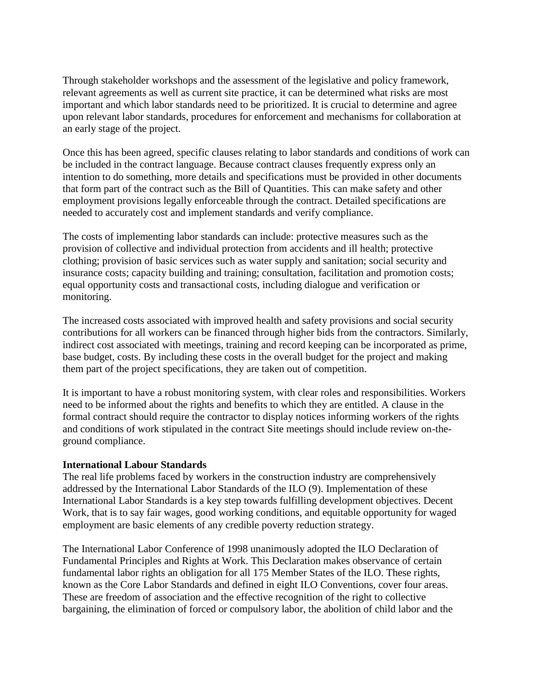Through stakeholder workshops and the assessment of the legislative and policy framework, relevant agreements as well as current site practice, it can be determined what risks are most important and which labor standards need to be prioritized. It is crucial to determine and agree upon relevant labor standards, procedures for enforcement and mechanisms for collaboration at an early stage of the project.

Once this has been agreed, specific clauses relating to labor standards and conditions of work can be included in the contract language. Because contract clauses frequently express only an intention to do something, more details and specifications must be provided in other documents that form part of the contract such as the Bill of Quantities. This can make safety and other employment provisions legally enforceable through the contract. Detailed specifications are needed to accurately cost and implement standards and verify compliance.

The costs of implementing labor standards can include: protective measures such as the provision of collective and individual protection from accidents and ill health; protective clothing; provision of basic services such as water supply and sanitation; social security and insurance costs; capacity building and training; consultation, facilitation and promotion costs; equal opportunity costs and transactional costs, including dialogue and verification or monitoring.

The increased costs associated with improved health and safety provisions and social security contributions for all workers can be financed through higher bids from the contractors. Similarly, indirect cost associated with meetings, training and record keeping can be incorporated as prime, base budget, costs. By including these costs in the overall budget for the project and making them part of the project specifications, they are taken out of competition.

It is important to have a robust monitoring system, with clear roles and responsibilities. Workers need to be informed about the rights and benefits to which they are entitled. A clause in the formal contract should require the contractor to display notices informing workers of the rights and conditions of work stipulated in the contract Site meetings should include review on-theground compliance.

### **International Labour Standards**

The real life problems faced by workers in the construction industry are comprehensively addressed by the International Labor Standards of the ILO (9). Implementation of these International Labor Standards is a key step towards fulfilling development objectives. Decent Work, that is to say fair wages, good working conditions, and equitable opportunity for waged employment are basic elements of any credible poverty reduction strategy.

The International Labor Conference of 1998 unanimously adopted the ILO Declaration of Fundamental Principles and Rights at Work. This Declaration makes observance of certain fundamental labor rights an obligation for all 175 Member States of the ILO. These rights, known as the Core Labor Standards and defined in eight ILO Conventions, cover four areas. These are freedom of association and the effective recognition of the right to collective bargaining, the elimination of forced or compulsory labor, the abolition of child labor and the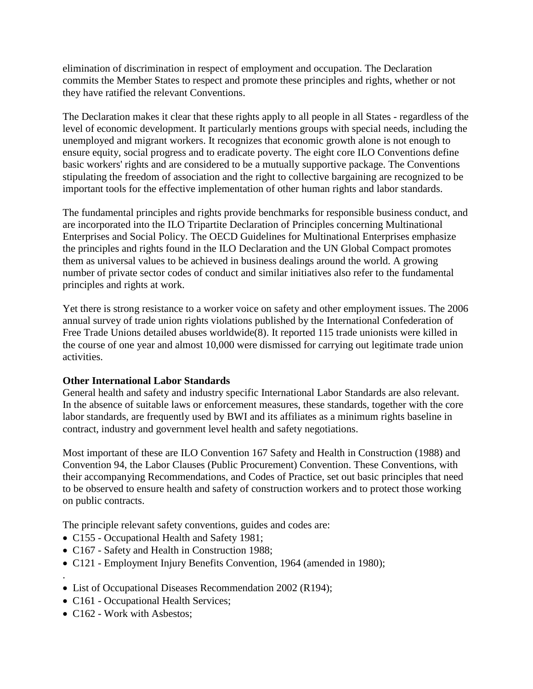elimination of discrimination in respect of employment and occupation. The Declaration commits the Member States to respect and promote these principles and rights, whether or not they have ratified the relevant Conventions.

The Declaration makes it clear that these rights apply to all people in all States - regardless of the level of economic development. It particularly mentions groups with special needs, including the unemployed and migrant workers. It recognizes that economic growth alone is not enough to ensure equity, social progress and to eradicate poverty. The eight core ILO Conventions define basic workers' rights and are considered to be a mutually supportive package. The Conventions stipulating the freedom of association and the right to collective bargaining are recognized to be important tools for the effective implementation of other human rights and labor standards.

The fundamental principles and rights provide benchmarks for responsible business conduct, and are incorporated into the ILO Tripartite Declaration of Principles concerning Multinational Enterprises and Social Policy. The OECD Guidelines for Multinational Enterprises emphasize the principles and rights found in the ILO Declaration and the UN Global Compact promotes them as universal values to be achieved in business dealings around the world. A growing number of private sector codes of conduct and similar initiatives also refer to the fundamental principles and rights at work.

Yet there is strong resistance to a worker voice on safety and other employment issues. The 2006 annual survey of trade union rights violations published by the International Confederation of Free Trade Unions detailed abuses worldwide(8). It reported 115 trade unionists were killed in the course of one year and almost 10,000 were dismissed for carrying out legitimate trade union activities.

## **Other International Labor Standards**

General health and safety and industry specific International Labor Standards are also relevant. In the absence of suitable laws or enforcement measures, these standards, together with the core labor standards, are frequently used by BWI and its affiliates as a minimum rights baseline in contract, industry and government level health and safety negotiations.

Most important of these are ILO Convention 167 Safety and Health in Construction (1988) and Convention 94, the Labor Clauses (Public Procurement) Convention. These Conventions, with their accompanying Recommendations, and Codes of Practice, set out basic principles that need to be observed to ensure health and safety of construction workers and to protect those working on public contracts.

The principle relevant safety conventions, guides and codes are:

- C155 Occupational Health and Safety 1981;
- C167 Safety and Health in Construction 1988;
- C121 Employment Injury Benefits Convention, 1964 (amended in 1980); .
- List of Occupational Diseases Recommendation 2002 (R194);
- C161 Occupational Health Services;
- C162 Work with Asbestos;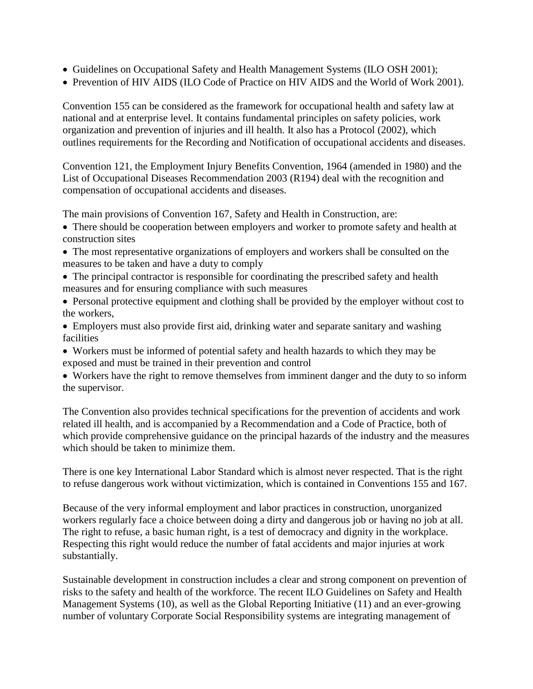- Guidelines on Occupational Safety and Health Management Systems (ILO OSH 2001);
- Prevention of HIV AIDS (ILO Code of Practice on HIV AIDS and the World of Work 2001).

Convention 155 can be considered as the framework for occupational health and safety law at national and at enterprise level. It contains fundamental principles on safety policies, work organization and prevention of injuries and ill health. It also has a Protocol (2002), which outlines requirements for the Recording and Notification of occupational accidents and diseases.

Convention 121, the Employment Injury Benefits Convention, 1964 (amended in 1980) and the List of Occupational Diseases Recommendation 2003 (R194) deal with the recognition and compensation of occupational accidents and diseases.

The main provisions of Convention 167, Safety and Health in Construction, are:

- There should be cooperation between employers and worker to promote safety and health at construction sites
- The most representative organizations of employers and workers shall be consulted on the measures to be taken and have a duty to comply
- The principal contractor is responsible for coordinating the prescribed safety and health measures and for ensuring compliance with such measures
- Personal protective equipment and clothing shall be provided by the employer without cost to the workers,
- Employers must also provide first aid, drinking water and separate sanitary and washing facilities
- Workers must be informed of potential safety and health hazards to which they may be exposed and must be trained in their prevention and control
- Workers have the right to remove themselves from imminent danger and the duty to so inform the supervisor.

The Convention also provides technical specifications for the prevention of accidents and work related ill health, and is accompanied by a Recommendation and a Code of Practice, both of which provide comprehensive guidance on the principal hazards of the industry and the measures which should be taken to minimize them.

There is one key International Labor Standard which is almost never respected. That is the right to refuse dangerous work without victimization, which is contained in Conventions 155 and 167.

Because of the very informal employment and labor practices in construction, unorganized workers regularly face a choice between doing a dirty and dangerous job or having no job at all. The right to refuse, a basic human right, is a test of democracy and dignity in the workplace. Respecting this right would reduce the number of fatal accidents and major injuries at work substantially.

Sustainable development in construction includes a clear and strong component on prevention of risks to the safety and health of the workforce. The recent ILO Guidelines on Safety and Health Management Systems (10), as well as the Global Reporting Initiative (11) and an ever-growing number of voluntary Corporate Social Responsibility systems are integrating management of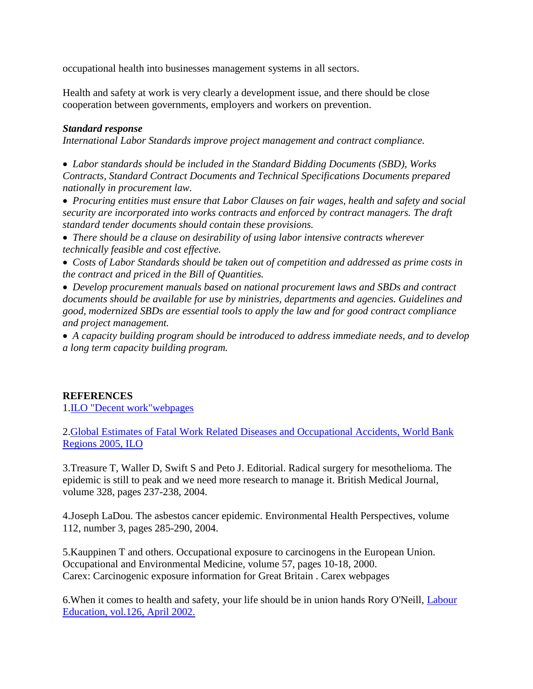occupational health into businesses management systems in all sectors.

Health and safety at work is very clearly a development issue, and there should be close cooperation between governments, employers and workers on prevention.

#### *Standard response*

*International Labor Standards improve project management and contract compliance.* 

 *Labor standards should be included in the Standard Bidding Documents (SBD), Works Contracts, Standard Contract Documents and Technical Specifications Documents prepared nationally in procurement law.* 

 *Procuring entities must ensure that Labor Clauses on fair wages, health and safety and social security are incorporated into works contracts and enforced by contract managers. The draft standard tender documents should contain these provisions.* 

 *There should be a clause on desirability of using labor intensive contracts wherever technically feasible and cost effective.* 

 *Costs of Labor Standards should be taken out of competition and addressed as prime costs in the contract and priced in the Bill of Quantities.*

 *Develop procurement manuals based on national procurement laws and SBDs and contract documents should be available for use by ministries, departments and agencies. Guidelines and good, modernized SBDs are essential tools to apply the law and for good contract compliance and project management.* 

 *A capacity building program should be introduced to address immediate needs, and to develop a long term capacity building program.* 

### **REFERENCES**

1[.ILO "Decent work"webpages](http://www.ilo.org/public/english/decent.htm)

2[.Global Estimates of Fatal Work Related Diseases and Occupational Accidents, World Bank](http://www.ilo.org/public/english/protection/safework/accidis/globest_2005/index.htm)  [Regions 2005, ILO](http://www.ilo.org/public/english/protection/safework/accidis/globest_2005/index.htm)

3.Treasure T, Waller D, Swift S and Peto J. Editorial. Radical surgery for mesothelioma. The epidemic is still to peak and we need more research to manage it. British Medical Journal, volume 328, pages 237-238, 2004.

4.Joseph LaDou. The asbestos cancer epidemic. Environmental Health Perspectives, volume 112, number 3, pages 285-290, 2004.

5.Kauppinen T and others. Occupational exposure to carcinogens in the European Union. Occupational and Environmental Medicine, volume 57, pages 10-18, 2000. Carex: Carcinogenic exposure information for Great Britain . Carex webpages

6.When it comes to health and safety, your life should be in union hands Rory O'Neill, [Labour](http://www.ilo.org/public/english/dialogue/actrav/publ/126/neill.pdf)  [Education, vol.126, April 2002.](http://www.ilo.org/public/english/dialogue/actrav/publ/126/neill.pdf)